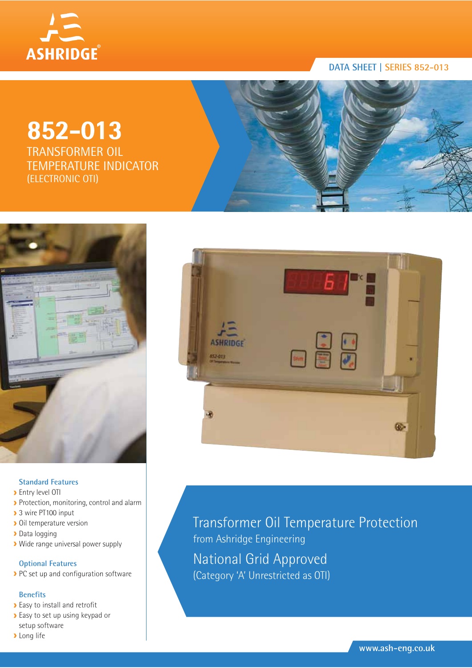

## **852-013**

TRANSFORMER OIL TEMPERATURE INDICATOR (ELECTRONIC OTI)





#### **Standard Features**

- **>** Entry level OTI
- Protection, monitoring, control and alarm
- ▶ 3 wire PT100 input
- **Dil temperature version**
- Data logging
- Wide range universal power supply

#### **Optional Features**

PC set up and configuration software

#### **Benefits**

- **Easy to install and retrofit**
- **Easy to set up using keypad or** setup software
- **>** Long life



Transformer Oil Temperature Protection from Ashridge Engineering National Grid Approved (Category 'A' Unrestricted as OTI)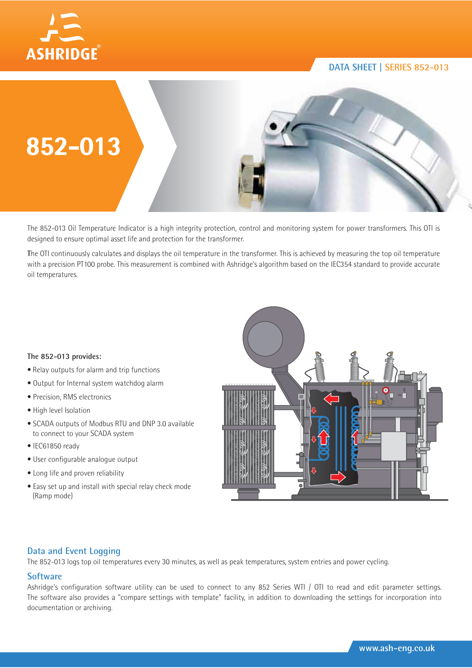



The 852-013 Oil Temperature Indicator is a high integrity protection, control and monitoring system for power transformers. This OTI is designed to ensure optimal asset life and protection for the transformer.

**T**he OTI continuously calculates and displays the oil temperature in the transformer. This is achieved by measuring the top oil temperature with a precision PT100 probe. This measurement is combined with Ashridge's algorithm based on the IEC354 standard to provide accurate oil temperatures.

#### **The 852-013 provides:**

- Relay outputs for alarm and trip functions
- Output for Internal system watchdog alarm
- · Precision, RMS electronics
- · High level Isolation
- SCADA outputs of Modbus RTU and DNP 3.0 available to connect to your SCADA system
- $\bullet$  IEC61850 ready
- User configurable analogue output
- Long life and proven reliability
- Easy set up and install with special relay check mode (Ramp mode)



#### **Data and Event Logging**

The 852-013 logs top oil temperatures every 30 minutes, as well as peak temperatures, system entries and power cycling.

#### **Software**

Ashridge's configuration software utility can be used to connect to any 852 Series WTI / OTI to read and edit parameter settings. The software also provides a "compare settings with template" facility, in addition to downloading the settings for incorporation into documentation or archiving.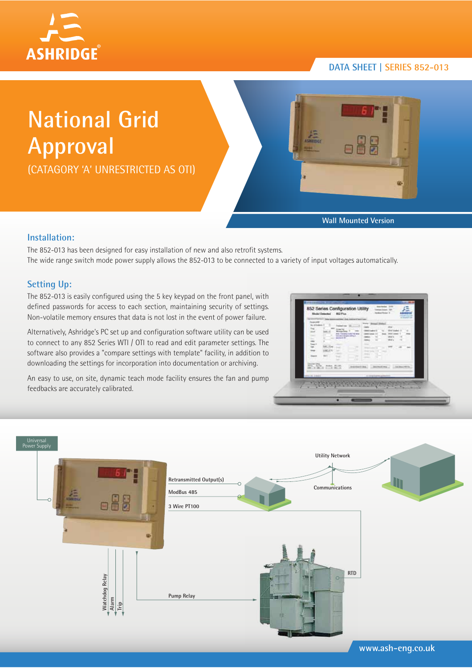

# **National Grid Approval**

(CATAGORY 'A' UNRESTRICTED AS OTI)



**Wall Mounted Version**

#### **Installation:**

The 852-013 has been designed for easy installation of new and also retrofit systems. The wide range switch mode power supply allows the 852-013 to be connected to a variety of input voltages automatically.

#### **Setting Up:**

The 852-013 is easily configured using the 5 key keypad on the front panel, with defined passwords for access to each section, maintaining security of settings. Non-volatile memory ensures that data is not lost in the event of power failure.

Alternatively, Ashridge's PC set up and configuration software utility can be used to connect to any 852 Series WTI / OTI to read and edit parameter settings. The software also provides a "compare settings with template" facility, in addition to downloading the settings for incorporation into documentation or archiving.

An easy to use, on site, dynamic teach mode facility ensures the fan and pump feedbacks are accurately calibrated.

| z<br>lith!<br>are constituted by any<br>the day class of the<br><b>Arrest St.</b><br><b>Alas</b><br>ran<br>u | <b>State</b><br>-<br><b>Bratt tracket, 15</b><br><b>WAS LIGHT</b><br><b>Gland</b><br>Mala<br><b>COLLE</b><br>.<br>m<br>Shiel large 1.9 - Longin<br><b>STATE</b><br>The Corporation<br>77.<br>2.99 |
|--------------------------------------------------------------------------------------------------------------|---------------------------------------------------------------------------------------------------------------------------------------------------------------------------------------------------|
| <b>Manager Street</b>                                                                                        | particulars constructions. Le                                                                                                                                                                     |
| 第2章 無益                                                                                                       | detailed at 1971 to                                                                                                                                                                               |
| attend June 1                                                                                                | 1. In a complete degree of product to a                                                                                                                                                           |



**www.ash-eng.co.uk**